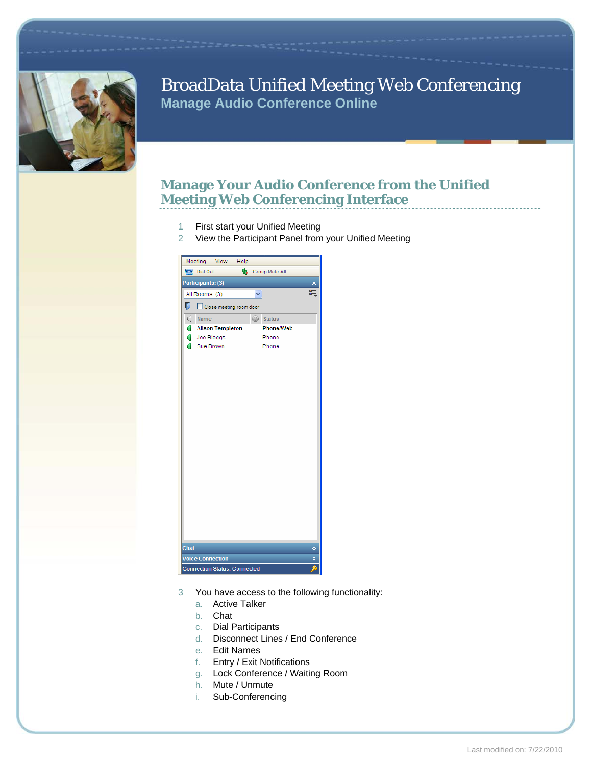

## BroadData Unified Meeting Web Conferencing **Manage Audio Conference Online**

#### **Manage Your Audio Conference from the Unified Meeting Web Conferencing Interface**

- 1 First start your Unified Meeting
- 2 View the Participant Panel from your Unified Meeting



- 3 You have access to the following functionality:
	- a. Active Talker
	- b. Chat
	- c. Dial Participants
	- d. Disconnect Lines / End Conference
	- e. Edit Names
	- f. Entry / Exit Notifications
	- g. Lock Conference / Waiting Room
	- h. Mute / Unmute
	- i. Sub-Conferencing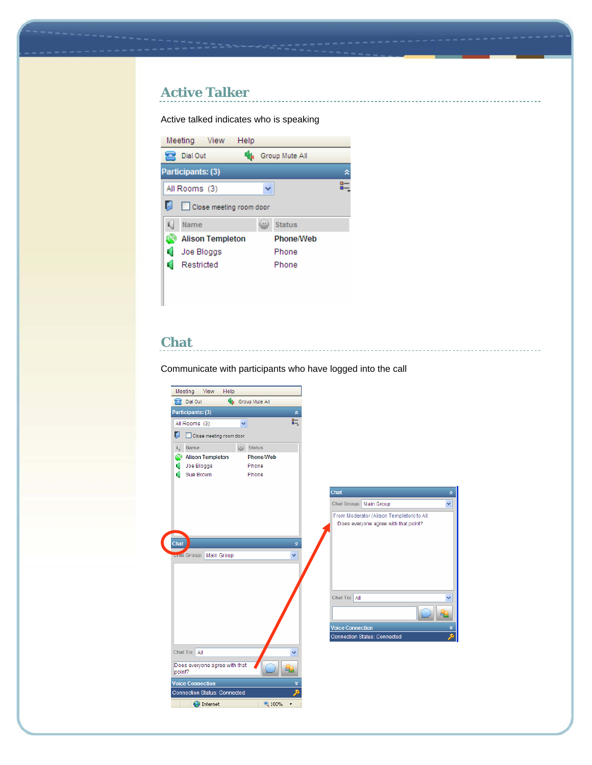## **Active Talker**

Active talked indicates who is speaking



#### **Chat**

Communicate with participants who have logged into the call

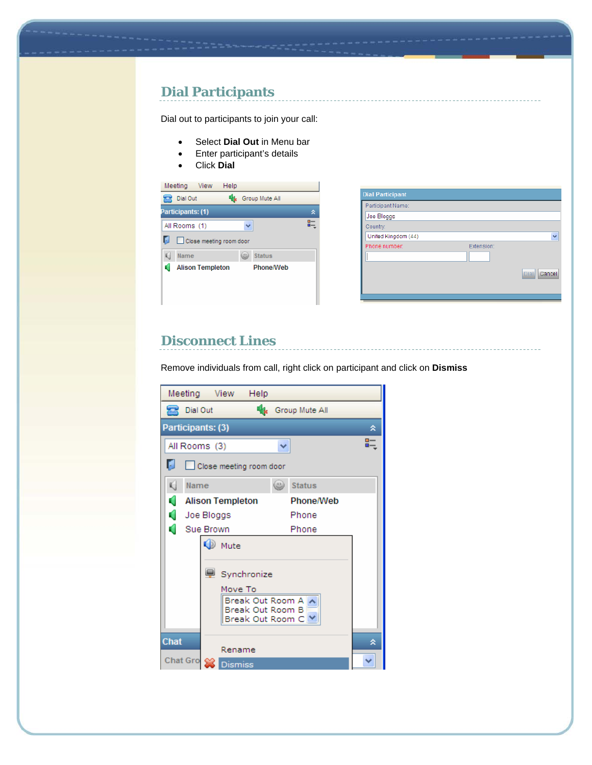## **Dial Participants**

Dial out to participants to join your call:

- Select **Dial Out** in Menu bar
- Enter participant's details
- Click **Dial**



| <b>Dial Participant</b> |            |                       |
|-------------------------|------------|-----------------------|
| Participant Name:       |            |                       |
| Joe Bloggs              |            |                       |
| Country:                |            |                       |
| United Kingdom (44)     |            |                       |
| Phone number:           | Extension: |                       |
|                         |            |                       |
|                         |            | Cancel<br><b>Dial</b> |
|                         |            |                       |

#### **Disconnect Lines**

Remove individuals from call, right click on participant and click on **Dismiss**

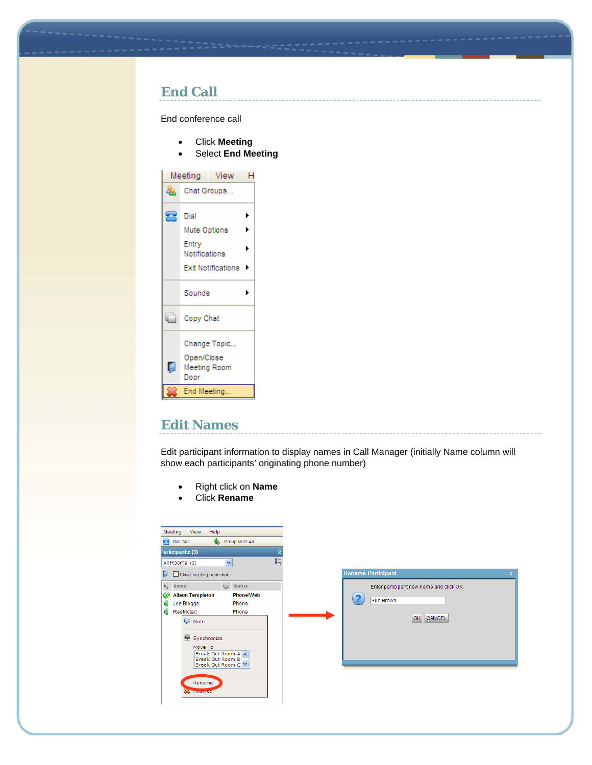#### **End Call**

End conference call

- Click **Meeting**
- Select **End Meeting**



#### **Edit Names**

Edit participant information to display names in Call Manager (initially Name column will show each participants' originating phone number)

- Right click on **Name**
- Click **Rename**

| Meeting<br>View<br>Help                            |   |                                          |  |
|----------------------------------------------------|---|------------------------------------------|--|
| Group Mute All<br>Dial Out                         |   |                                          |  |
| Participants: (3)                                  | 交 |                                          |  |
| $\checkmark$<br>All Rooms (3)                      | 眃 |                                          |  |
| Close meeting room door<br>ы                       |   | <b>Rename Participant</b>                |  |
| $\sqrt{ }$ Name<br>$\circledcirc$<br><b>Status</b> |   | Enter participant new name and click OK. |  |
| <b>Alison Templeton</b><br>Phone/Web<br>۵Ó         |   |                                          |  |
| Joe Bloggs<br>Phone<br>u                           |   | Sue Brown                                |  |
| Restricted<br>a<br>Phone                           |   |                                          |  |
| (D) Mute                                           |   | OK CANCEL                                |  |
|                                                    |   |                                          |  |
| <b>图 Synchronize</b>                               |   |                                          |  |
| Move To                                            |   |                                          |  |
| Break Out Room A<br>Break Out Room B               |   |                                          |  |
| Break Out Room C M                                 |   |                                          |  |
|                                                    |   |                                          |  |
| Rename                                             |   |                                          |  |
| <b>CONTROLLERS</b>                                 |   |                                          |  |
|                                                    |   |                                          |  |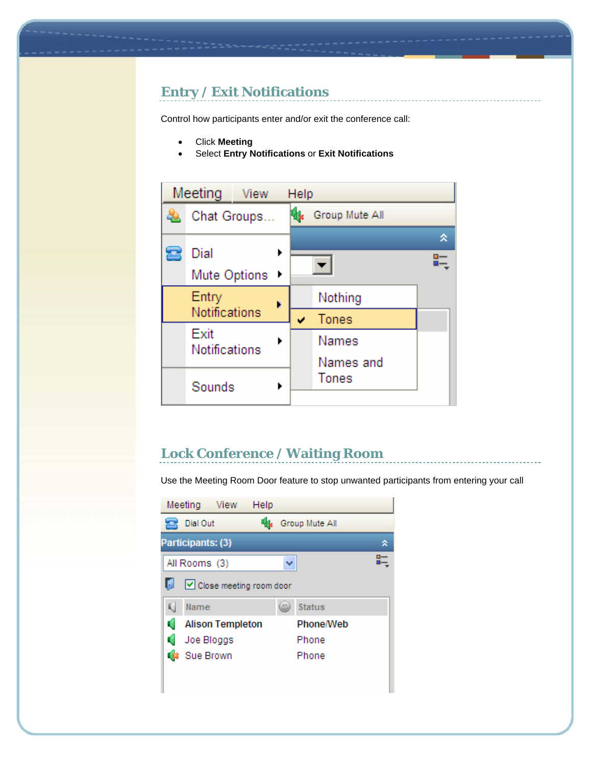## **Entry / Exit Notifications**

Control how participants enter and/or exit the conference call:

- Click **Meeting**
- Select **Entry Notifications** or **Exit Notifications**



#### **Lock Conference / Waiting Room**

Use the Meeting Room Door feature to stop unwanted participants from entering your call

|   | Meeting           | <b>View</b>             | Help |                |   |
|---|-------------------|-------------------------|------|----------------|---|
|   | Dial Out          |                         |      | Group Mute All |   |
|   | Participants: (3) |                         |      |                | ⋩ |
|   | All Rooms (3)     |                         |      |                |   |
| ы |                   | Close meeting room door |      |                |   |
| Ú | Name              |                         |      | <b>Status</b>  |   |
| a |                   | <b>Alison Templeton</b> |      | Phone/Web      |   |
|   | Joe Bloggs        |                         |      | Phone          |   |
|   | Sue Brown         |                         |      | Phone          |   |
|   |                   |                         |      |                |   |
|   |                   |                         |      |                |   |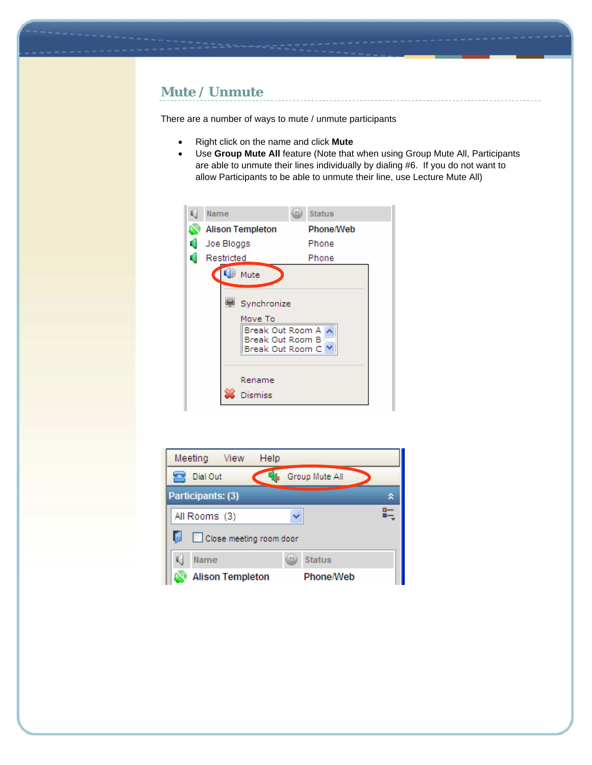## **Mute / Unmute**

There are a number of ways to mute / unmute participants

- Right click on the name and click **Mute**
- Use **Group Mute All** feature (Note that when using Group Mute All, Participants are able to unmute their lines individually by dialing #6. If you do not want to allow Participants to be able to unmute their line, use Lecture Mute All)



| Meeting<br>View<br>Help      |                  |   |
|------------------------------|------------------|---|
| Dial Out                     | Group Mute All   |   |
| Participants: (3)            |                  | я |
| All Rooms (3)                |                  |   |
| ы<br>Close meeting room door |                  |   |
| Name                         | <b>Status</b>    |   |
| <b>Alison Templeton</b>      | <b>Phone/Web</b> |   |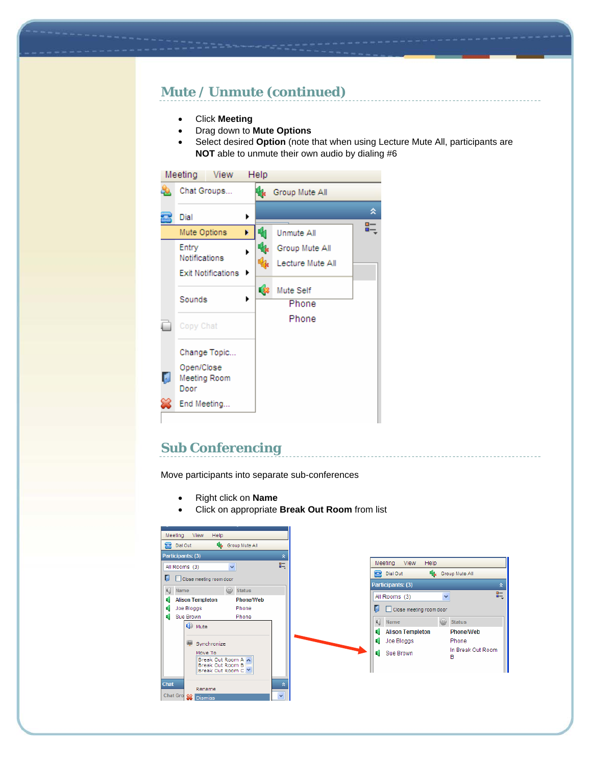## **Mute / Unmute (continued)**

- Click **Meeting**
- Drag down to **Mute Options**
- Select desired **Option** (note that when using Lecture Mute All, participants are **NOT** able to unmute their own audio by dialing #6



## **Sub Conferencing**

Move participants into separate sub-conferences

- Right click on **Name**
- Click on appropriate **Break Out Room** from list

| View<br>Help<br>Meeting                   |             |
|-------------------------------------------|-------------|
| <b>Extra Group Mute All</b><br>Dial Out   |             |
| Participants: (3)                         | 交           |
| $\checkmark$<br>All Rooms (3)             | 眃           |
| U                                         |             |
| Close meeting room door                   |             |
| Name<br>$\omega$<br><b>Status</b>         |             |
| <b>Alison Templeton</b><br>Phone/Web<br>ú |             |
| Joe Bloggs<br>Phone                       |             |
| Sue Brown<br>Phone<br>u                   |             |
| <b>O</b> Mute                             |             |
|                                           |             |
| Q<br>Synchronize                          |             |
| Move To<br>Break Out Room A               |             |
| Break Out Room B<br>Break Out Room C M    |             |
|                                           |             |
| <b>Chat</b><br>Rename                     | 交           |
| Chat Gro & Dismiss                        | $\ddotmark$ |